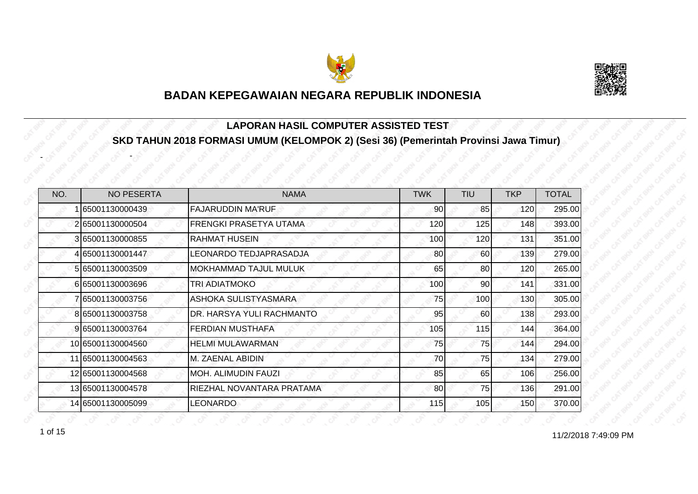



#### **LAPORAN HASIL COMPUTER ASSISTED TEST SKD TAHUN 2018 FORMASI UMUM (KELOMPOK 2) (Sesi 36) (Pemerintah Provinsi Jawa Timur)**

| NO. | <b>NO PESERTA</b> | <b>NAMA</b>                   | <b>TWK</b> | <b>TIU</b> | <b>TKP</b> | <b>TOTAL</b> |
|-----|-------------------|-------------------------------|------------|------------|------------|--------------|
|     | 65001130000439    | <b>FAJARUDDIN MA'RUF</b>      | 90         | 85         | 120        | 295.00       |
|     | 265001130000504   | <b>FRENGKI PRASETYA UTAMA</b> | 120        | 125        | 148        | 393.00       |
|     | 3 65001130000855  | <b>RAHMAT HUSEIN</b>          | 100        | 120        | 131        | 351.00       |
|     | 4 65001130001447  | LEONARDO TEDJAPRASADJA        | 80         | 60         | 139        | 279.00       |
|     | 5 65001130003509  | <b>MOKHAMMAD TAJUL MULUK</b>  | 65         | 80         | 120        | 265.00       |
|     | 6 65001130003696  | <b>TRI ADIATMOKO</b>          | 100        | 90         | 141        | 331.00       |
|     | 7 65001130003756  | ASHOKA SULISTYASMARA          | 75         | 100        | 130        | 305.00       |
|     | 8 65001130003758  | DR. HARSYA YULI RACHMANTO     | 95         | 60         | 138        | 293.00       |
|     | 9 65001130003764  | <b>FERDIAN MUSTHAFA</b>       | 105        | 115        | 144        | 364.00       |
|     | 10 65001130004560 | <b>HELMI MULAWARMAN</b>       | 75         | 75         | 144        | 294.00       |
|     | 11 65001130004563 | <b>M. ZAENAL ABIDIN</b>       | 70         | 75         | 134        | 279.00       |
|     | 12 65001130004568 | IMOH. ALIMUDIN FAUZI          | 85         | 65         | 106        | 256.00       |
|     | 13 65001130004578 | RIEZHAL NOVANTARA PRATAMA     | 80         | 75         | 136        | 291.00       |
|     | 14 65001130005099 | <b>LEONARDO</b>               | 115        | 105        | 150        | 370.00       |

-

-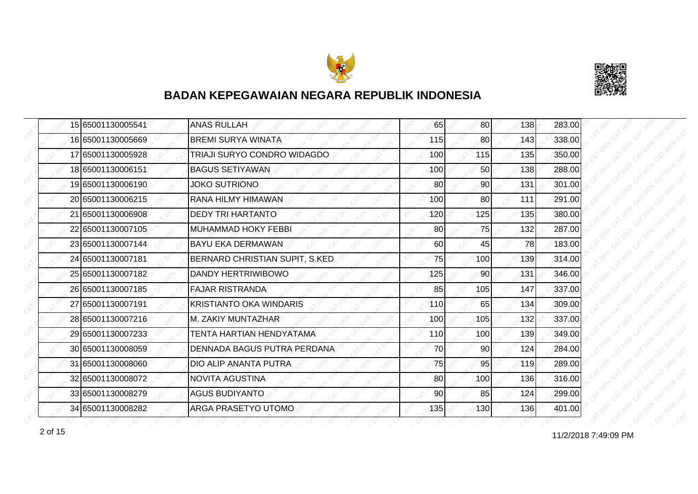



| 15 65001130005541 | <b>ANAS RULLAH</b>             | 65  | 80 <sup>1</sup> | 138 | 283.00 |
|-------------------|--------------------------------|-----|-----------------|-----|--------|
| 16 65001130005669 | <b>BREMI SURYA WINATA</b>      | 115 | 80              | 143 | 338.00 |
| 17 65001130005928 | TRIAJI SURYO CONDRO WIDAGDO    | 100 | 115             | 135 | 350.00 |
| 18 65001130006151 | <b>BAGUS SETIYAWAN</b>         | 100 | 50 <sub>l</sub> | 138 | 288.00 |
| 19 65001130006190 | <b>JOKO SUTRIONO</b>           | 80  | 90 <sub>0</sub> | 131 | 301.00 |
| 20 65001130006215 | RANA HILMY HIMAWAN             | 100 | 80              | 111 | 291.00 |
| 21 65001130006908 | <b>DEDY TRI HARTANTO</b>       | 120 | 125             | 135 | 380.00 |
| 22 65001130007105 | <b>MUHAMMAD HOKY FEBBI</b>     | 80  | 75              | 132 | 287.00 |
| 23 65001130007144 | <b>BAYU EKA DERMAWAN</b>       | 60  | 45              | 78  | 183.00 |
| 24 65001130007181 | BERNARD CHRISTIAN SUPIT, S.KED | 75  | 100             | 139 | 314.00 |
| 25 65001130007182 | DANDY HERTRIWIBOWO             | 125 | 90 <sub>0</sub> | 131 | 346.00 |
| 26 65001130007185 | <b>FAJAR RISTRANDA</b>         | 85  | 105             | 147 | 337.00 |
| 27 65001130007191 | <b>KRISTIANTO OKA WINDARIS</b> | 110 | 65              | 134 | 309.00 |
| 28 65001130007216 | M. ZAKIY MUNTAZHAR             | 100 | 105             | 132 | 337.00 |
| 29 65001130007233 | TENTA HARTIAN HENDYATAMA       | 110 | 100             | 139 | 349.00 |
| 30 65001130008059 | DENNADA BAGUS PUTRA PERDANA    | 70  | 90 <sub>0</sub> | 124 | 284.00 |
| 31 65001130008060 | DIO ALIP ANANTA PUTRA          | 75  | 95              | 119 | 289.00 |
| 32 65001130008072 | <b>NOVITA AGUSTINA</b>         | 80  | 100             | 136 | 316.00 |
| 33 65001130008279 | <b>AGUS BUDIYANTO</b>          | 90  | 85              | 124 | 299.00 |
| 34 65001130008282 | ARGA PRASETYO UTOMO            | 135 | 130             | 136 | 401.00 |

11/2/2018 7:49:09 PM 2 of 15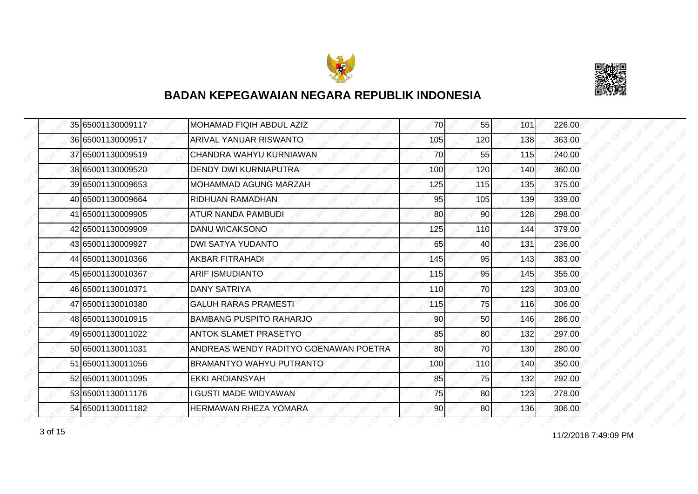



|  | 35 65001130009117 | MOHAMAD FIQIH ABDUL AZIZ              | 70  | 55              | 101 | 226.00 |
|--|-------------------|---------------------------------------|-----|-----------------|-----|--------|
|  | 36 65001130009517 | <b>ARIVAL YANUAR RISWANTO</b>         | 105 | 120             | 138 | 363.00 |
|  | 37 65001130009519 | CHANDRA WAHYU KURNIAWAN               | 70  | 55              | 115 | 240.00 |
|  | 38 65001130009520 | <b>DENDY DWI KURNIAPUTRA</b>          | 100 | 120             | 140 | 360.00 |
|  | 39 65001130009653 | <b>MOHAMMAD AGUNG MARZAH</b>          | 125 | 115             | 135 | 375.00 |
|  | 40 65001130009664 | RIDHUAN RAMADHAN                      | 95  | 105             | 139 | 339.00 |
|  | 41 65001130009905 | <b>ATUR NANDA PAMBUDI</b>             | 80  | 90 <sub>l</sub> | 128 | 298.00 |
|  | 42 65001130009909 | <b>DANU WICAKSONO</b>                 | 125 | 110             | 144 | 379.00 |
|  | 43 65001130009927 | <b>DWI SATYA YUDANTO</b>              | 65  | 40              | 131 | 236.00 |
|  | 44 65001130010366 | <b>AKBAR FITRAHADI</b>                | 145 | 95              | 143 | 383.00 |
|  | 45 65001130010367 | <b>ARIF ISMUDIANTO</b>                | 115 | 95              | 145 | 355.00 |
|  | 46 65001130010371 | <b>DANY SATRIYA</b>                   | 110 | 70              | 123 | 303.00 |
|  | 47 65001130010380 | <b>GALUH RARAS PRAMESTI</b>           | 115 | 75              | 116 | 306.00 |
|  | 48 65001130010915 | <b>BAMBANG PUSPITO RAHARJO</b>        | 90  | 50 <sub>l</sub> | 146 | 286.00 |
|  | 49 65001130011022 | <b>ANTOK SLAMET PRASETYO</b>          | 85  | 80              | 132 | 297.00 |
|  | 50 65001130011031 | ANDREAS WENDY RADITYO GOENAWAN POETRA | 80  | 70              | 130 | 280.00 |
|  | 51 65001130011056 | <b>BRAMANTYO WAHYU PUTRANTO</b>       | 100 | 110             | 140 | 350.00 |
|  | 52165001130011095 | EKKI ARDIANSYAH                       | 85  | 75              | 132 | 292.00 |
|  | 53 65001130011176 | I GUSTI MADE WIDYAWAN                 | 75  | 80              | 123 | 278.00 |
|  | 54 65001130011182 | <b>HERMAWAN RHEZA YOMARA</b>          | 90  | 80              | 136 | 306.00 |

11/2/2018 7:49:09 PM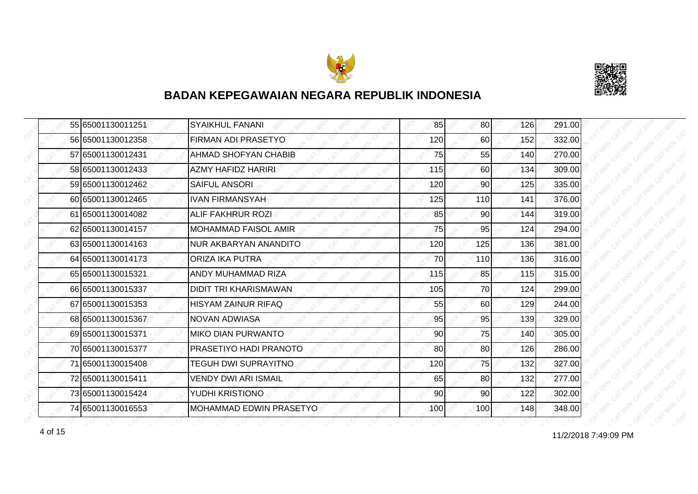



|  | 55 65001130011251 | <b>SYAIKHUL FANANI</b>      | 85  | 80              | 126 | 291.00 |
|--|-------------------|-----------------------------|-----|-----------------|-----|--------|
|  | 56 65001130012358 | FIRMAN ADI PRASETYO         | 120 | 60              | 152 | 332.00 |
|  | 57 65001130012431 | <b>AHMAD SHOFYAN CHABIB</b> | 75  | 55              | 140 | 270.00 |
|  | 58 65001130012433 | <b>AZMY HAFIDZ HARIRI</b>   | 115 | 60 <sup>1</sup> | 134 | 309.00 |
|  | 59 65001130012462 | <b>SAIFUL ANSORI</b>        | 120 | 90              | 125 | 335.00 |
|  | 60 65001130012465 | <b>IVAN FIRMANSYAH</b>      | 125 | 110             | 141 | 376.00 |
|  | 6165001130014082  | <b>ALIF FAKHRUR ROZI</b>    | 85  | 90 <sup>1</sup> | 144 | 319.00 |
|  | 62 65001130014157 | <b>MOHAMMAD FAISOL AMIR</b> | 75  | 95              | 124 | 294.00 |
|  | 63 65001130014163 | NUR AKBARYAN ANANDITO       | 120 | 125             | 136 | 381.00 |
|  | 64 65001130014173 | <b>ORIZA IKA PUTRA</b>      | 70  | 110             | 136 | 316.00 |
|  | 65 65001130015321 | ANDY MUHAMMAD RIZA          | 115 | 85              | 115 | 315.00 |
|  | 66 65001130015337 | DIDIT TRI KHARISMAWAN       | 105 | 70              | 124 | 299.00 |
|  | 67 65001130015353 | <b>HISYAM ZAINUR RIFAQ</b>  | 55  | 60              | 129 | 244.00 |
|  | 68 65001130015367 | NOVAN ADWIASA               | 95  | 95              | 139 | 329.00 |
|  | 69 65001130015371 | <b>MIKO DIAN PURWANTO</b>   | 90  | 75              | 140 | 305.00 |
|  | 7065001130015377  | PRASETIYO HADI PRANOTO      | 80  | 80 <sup>1</sup> | 126 | 286.00 |
|  | 71 65001130015408 | <b>TEGUH DWI SUPRAYITNO</b> | 120 | 75              | 132 | 327.00 |
|  | 72 65001130015411 | <b>VENDY DWI ARI ISMAIL</b> | 65  | 80              | 132 | 277.00 |
|  | 73 65001130015424 | YUDHI KRISTIONO             | 90  | 90              | 122 | 302.00 |
|  | 74 65001130016553 | MOHAMMAD EDWIN PRASETYO     | 100 | 100             | 148 | 348.00 |

11/2/2018 7:49:09 PM 4 of 15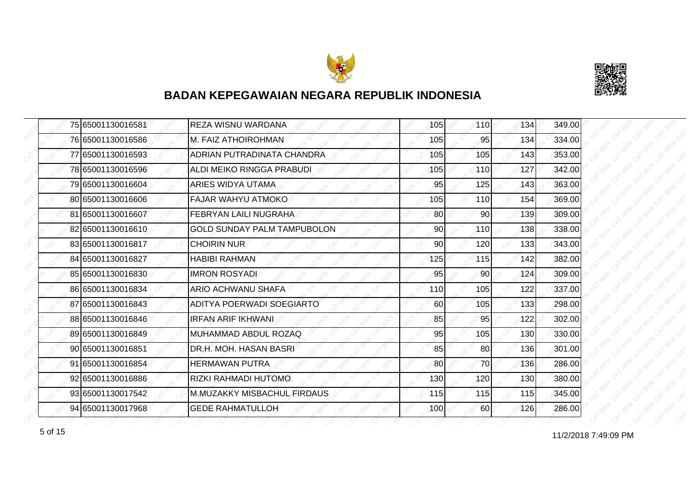



|  | 75 65001130016581 | <b>REZA WISNU WARDANA</b>          | 105 | <b>110</b>      | 134 | 349.00 |
|--|-------------------|------------------------------------|-----|-----------------|-----|--------|
|  | 76 65001130016586 | <b>M. FAIZ ATHOIROHMAN</b>         | 105 | 95              | 134 | 334.00 |
|  | 77 65001130016593 | ADRIAN PUTRADINATA CHANDRA         | 105 | 105             | 143 | 353.00 |
|  | 78 65001130016596 | ALDI MEIKO RINGGA PRABUDI          | 105 | <b>110</b>      | 127 | 342.00 |
|  | 79 65001130016604 | ARIES WIDYA UTAMA                  | 95  | 125             | 143 | 363.00 |
|  | 80 65001130016606 | <b>FAJAR WAHYU ATMOKO</b>          | 105 | 110             | 154 | 369.00 |
|  | 81 65001130016607 | <b>FEBRYAN LAILI NUGRAHA</b>       | 80  | 90              | 139 | 309.00 |
|  | 82 65001130016610 | <b>GOLD SUNDAY PALM TAMPUBOLON</b> | 90  | 110             | 138 | 338.00 |
|  | 83 65001130016817 | <b>CHOIRIN NUR</b>                 | 90  | 120             | 133 | 343.00 |
|  | 84 65001130016827 | <b>HABIBI RAHMAN</b>               | 125 | 115             | 142 | 382.00 |
|  | 85 65001130016830 | <b>IMRON ROSYADI</b>               | 95  | 90              | 124 | 309.00 |
|  | 86 65001130016834 | ARIO ACHWANU SHAFA                 | 110 | 105             | 122 | 337.00 |
|  | 87 65001130016843 | ADITYA POERWADI SOEGIARTO          | 60  | 105             | 133 | 298.00 |
|  | 88 65001130016846 | IRFAN ARIF IKHWANI.                | 85  | 95              | 122 | 302.00 |
|  | 89 65001130016849 | MUHAMMAD ABDUL ROZAQ               | 95  | 105             | 130 | 330.00 |
|  | 90 65001130016851 | DR.H. MOH. HASAN BASRI             | 85  | 80 <sup>1</sup> | 136 | 301.00 |
|  | 91 65001130016854 | <b>HERMAWAN PUTRA</b>              | 80  | 70              | 136 | 286.00 |
|  | 92 65001130016886 | RIZKI RAHMADI HUTOMO               | 130 | 120             | 130 | 380.00 |
|  | 93 65001130017542 | <b>M.MUZAKKY MISBACHUL FIRDAUS</b> | 115 | 115             | 115 | 345.00 |
|  | 94 65001130017968 | <b>GEDE RAHMATULLOH</b>            | 100 | <b>60</b>       | 126 | 286.00 |

for the contract of 15 of 15 of 15 of 15 of 16 of 16 of 17/2/2018 7:49:09 PM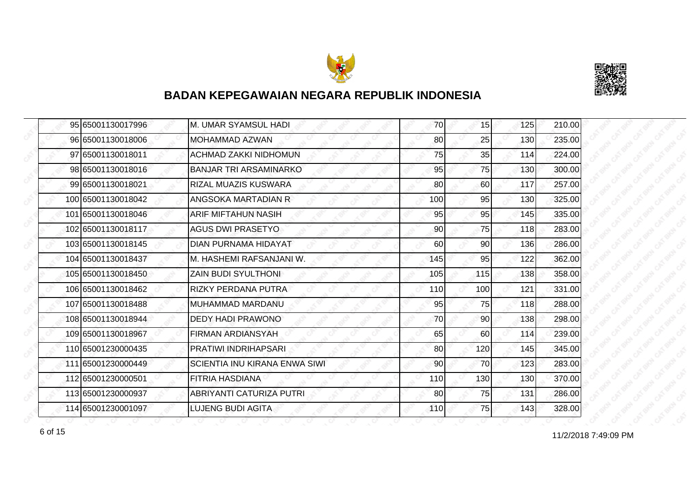



| 95 65001130017996  | M. UMAR SYAMSUL HADI          | 70  | 15  | 125 | 210.00 |
|--------------------|-------------------------------|-----|-----|-----|--------|
| 96 65001130018006  | <b>MOHAMMAD AZWAN</b>         | 80  | 25  | 130 | 235.00 |
| 97 65001130018011  | ACHMAD ZAKKI NIDHOMUN         | 75  | 35  | 114 | 224.00 |
| 98 65001130018016  | <b>BANJAR TRI ARSAMINARKO</b> | 95  | 75  | 130 | 300.00 |
| 99 65001130018021  | RIZAL MUAZIS KUSWARA          | 80  | 60  | 117 | 257.00 |
| 100 65001130018042 | ANGSOKA MARTADIAN R           | 100 | 95  | 130 | 325.00 |
| 101 65001130018046 | <b>ARIF MIFTAHUN NASIH</b>    | 95  | 95  | 145 | 335.00 |
| 102 65001130018117 | <b>AGUS DWI PRASETYO</b>      | 90  | 75  | 118 | 283.00 |
| 103 65001130018145 | DIAN PURNAMA HIDAYAT          | 60  | 90  | 136 | 286.00 |
| 104 65001130018437 | M. HASHEMI RAFSANJANI W.      | 145 | 95  | 122 | 362.00 |
| 105 65001130018450 | <b>ZAIN BUDI SYULTHONI</b>    | 105 | 115 | 138 | 358.00 |
| 106 65001130018462 | <b>RIZKY PERDANA PUTRA</b>    | 110 | 100 | 121 | 331.00 |
| 107 65001130018488 | MUHAMMAD MARDANU              | 95  | 75  | 118 | 288.00 |
| 108 65001130018944 | DEDY HADI PRAWONO             | 70  | 90  | 138 | 298.00 |
| 109 65001130018967 | <b>FIRMAN ARDIANSYAH</b>      | 65  | 60  | 114 | 239.00 |
| 110 65001230000435 | PRATIWI INDRIHAPSARI          | 80  | 120 | 145 | 345.00 |
| 111 65001230000449 | SCIENTIA INU KIRANA ENWA SIWI | 90  | 70  | 123 | 283.00 |
| 112 65001230000501 | FITRIA HASDIANA               | 110 | 130 | 130 | 370.00 |
| 113 65001230000937 | ABRIYANTI CATURIZA PUTRI      | 80  | 75  | 131 | 286.00 |
| 114 65001230001097 | LUJENG BUDI AGITA             | 110 | 75  | 143 | 328.00 |

11/2/2018 7:49:09 PM 6 of 15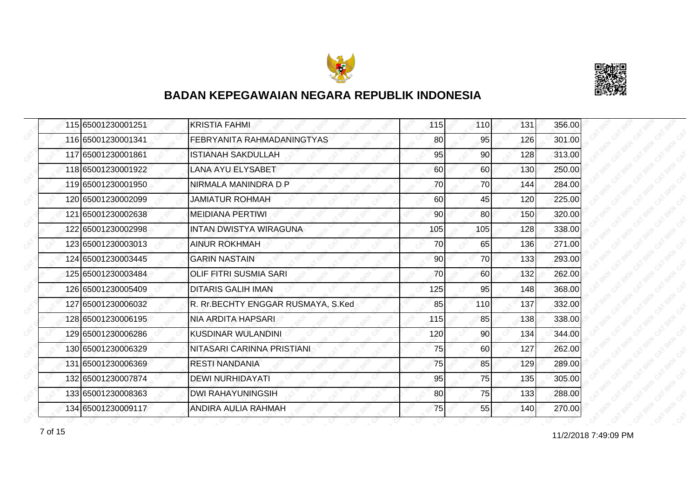



| 115 65001230001251 | <b>KRISTIA FAHMI</b>               | 115 | 110 | 131 | 356.00 |
|--------------------|------------------------------------|-----|-----|-----|--------|
| 116 65001230001341 | FEBRYANITA RAHMADANINGTYAS         | 80  | 95  | 126 | 301.00 |
| 117 65001230001861 | <b>ISTIANAH SAKDULLAH</b>          | 95  | 90  | 128 | 313.00 |
| 118 65001230001922 | <b>LANA AYU ELYSABET</b>           | 60  | 60  | 130 | 250.00 |
| 119 65001230001950 | NIRMALA MANINDRA D P               | 70  | 70  | 144 | 284.00 |
| 120165001230002099 | JAMIATUR ROHMAH                    | 60  | 45  | 120 | 225.00 |
| 121 65001230002638 | <b>MEIDIANA PERTIWI</b>            | 90  | 80  | 150 | 320.00 |
| 122 65001230002998 | <b>INTAN DWISTYA WIRAGUNA</b>      | 105 | 105 | 128 | 338.00 |
| 123 65001230003013 | <b>AINUR ROKHMAH</b>               | 70  | 65  | 136 | 271.00 |
| 124 65001230003445 | <b>GARIN NASTAIN</b>               | 90  | 70  | 133 | 293.00 |
| 125 65001230003484 | <b>OLIF FITRI SUSMIA SARI</b>      | 70  | 60  | 132 | 262.00 |
| 126 65001230005409 | <b>DITARIS GALIH IMAN</b>          | 125 | 95  | 148 | 368.00 |
| 127 65001230006032 | R. Rr.BECHTY ENGGAR RUSMAYA, S.Ked | 85  | 110 | 137 | 332.00 |
| 128 65001230006195 | NIA ARDITA HAPSARI                 | 115 | 85  | 138 | 338.00 |
| 129 65001230006286 | <b>KUSDINAR WULANDINI</b>          | 120 | 90  | 134 | 344.00 |
| 130 65001230006329 | NITASARI CARINNA PRISTIANI         | 75  | 60  | 127 | 262.00 |
| 131 65001230006369 | <b>RESTI NANDANIA</b>              | 75  | 85  | 129 | 289.00 |
| 132 65001230007874 | <b>DEWI NURHIDAYATI</b>            | 95  | 75  | 135 | 305.00 |
| 133 65001230008363 | <b>DWI RAHAYUNINGSIH</b>           | 80  | 75  | 133 | 288.00 |
| 134 65001230009117 | ANDIRA AULIA RAHMAH                | 75  | 55  | 140 | 270.00 |

7 of 15 **11/2/2018 7:49:09 PM**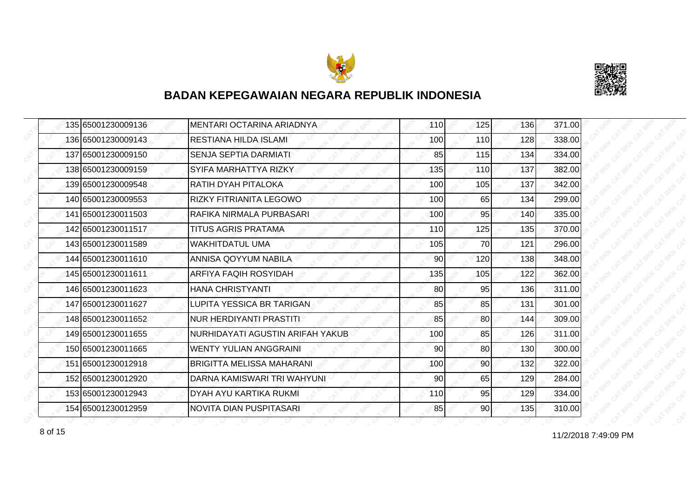



| 135 65001230009136 | MENTARI OCTARINA ARIADNYA        | 110 | 125             | 136 | 371.00 |
|--------------------|----------------------------------|-----|-----------------|-----|--------|
| 136 65001230009143 | <b>RESTIANA HILDA ISLAMI</b>     | 100 | 110             | 128 | 338.00 |
| 137 65001230009150 | <b>SENJA SEPTIA DARMIATI</b>     | 85  | 115             | 134 | 334.00 |
| 138 65001230009159 | SYIFA MARHATTYA RIZKY            | 135 | <b>110</b>      | 137 | 382.00 |
| 139 65001230009548 | RATIH DYAH PITALOKA              | 100 | 105             | 137 | 342.00 |
| 140 65001230009553 | <b>RIZKY FITRIANITA LEGOWO</b>   | 100 | 65              | 134 | 299.00 |
| 141 65001230011503 | RAFIKA NIRMALA PURBASARI         | 100 | 95              | 140 | 335.00 |
| 142 65001230011517 | TITUS AGRIS PRATAMA              | 110 | 125             | 135 | 370.00 |
| 143 65001230011589 | <b>WAKHITDATUL UMA</b>           | 105 | 70              | 121 | 296.00 |
| 144 65001230011610 | ANNISA QOYYUM NABILA             | 90  | 120             | 138 | 348.00 |
| 145 65001230011611 | ARFIYA FAQIH ROSYIDAH            | 135 | 105             | 122 | 362.00 |
| 146 65001230011623 | HANA CHRISTYANTI                 | 80  | 95              | 136 | 311.00 |
| 147 65001230011627 | LUPITA YESSICA BR TARIGAN        | 85  | 85              | 131 | 301.00 |
| 148 65001230011652 | NUR HERDIYANTI PRASTITI          | 85  | 80              | 144 | 309.00 |
| 149 65001230011655 | NURHIDAYATI AGUSTIN ARIFAH YAKUB | 100 | 85              | 126 | 311.00 |
| 150 65001230011665 | <b>WENTY YULIAN ANGGRAINI</b>    | 90  | 80 <sup>1</sup> | 130 | 300.00 |
| 151 65001230012918 | <b>BRIGITTA MELISSA MAHARANI</b> | 100 | 90              | 132 | 322.00 |
| 152 65001230012920 | DARNA KAMISWARI TRI WAHYUNI      | 90  | 65              | 129 | 284.00 |
| 153 65001230012943 | DYAH AYU KARTIKA RUKMI           | 110 | 95              | 129 | 334.00 |
| 154 65001230012959 | NOVITA DIAN PUSPITASARI          | 85  | 90 <sub>l</sub> | 135 | 310.00 |

11/2/2018 7:49:09 PM 8 of 15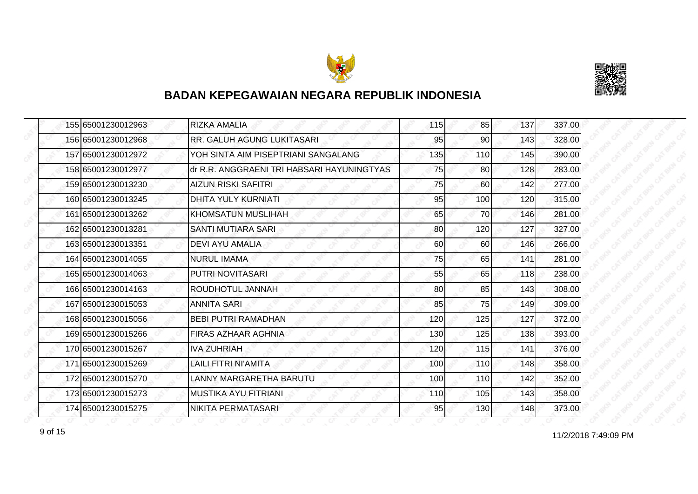



|  | 155 65001230012963 | <b>RIZKA AMALIA</b>                        | 115 | 85        | 137 | 337.00 |
|--|--------------------|--------------------------------------------|-----|-----------|-----|--------|
|  | 156 65001230012968 | RR. GALUH AGUNG LUKITASARI                 | 95  | 90I       | 143 | 328.00 |
|  | 157165001230012972 | YOH SINTA AIM PISEPTRIANI SANGALANG        | 135 | 110       | 145 | 390.00 |
|  | 158 65001230012977 | dr R.R. ANGGRAENI TRI HABSARI HAYUNINGTYAS | 75  | 80        | 128 | 283.00 |
|  | 159 65001230013230 | <b>AIZUN RISKI SAFITRI</b>                 | 75  | 60        | 142 | 277.00 |
|  | 160 65001230013245 | <b>DHITA YULY KURNIATI</b>                 | 95  | 100       | 120 | 315.00 |
|  | 161 65001230013262 | <b>KHOMSATUN MUSLIHAH</b>                  | 65  | <b>70</b> | 146 | 281.00 |
|  | 162 65001230013281 | SANTI MUTIARA SARI                         | 80  | 120       | 127 | 327.00 |
|  | 163 65001230013351 | <b>DEVI AYU AMALIA</b>                     | 60  | 60        | 146 | 266.00 |
|  | 164 65001230014055 | <b>NURUL IMAMA</b>                         | 75  | 65        | 141 | 281.00 |
|  | 165 65001230014063 | PUTRI NOVITASARI                           | 55  | 65        | 118 | 238.00 |
|  | 166 65001230014163 | ROUDHOTUL JANNAH                           | 80  | 85        | 143 | 308.00 |
|  | 167 65001230015053 | <b>ANNITA SARI</b>                         | 85  | 75        | 149 | 309.00 |
|  | 168 65001230015056 | <b>BEBI PUTRI RAMADHAN</b>                 | 120 | 125       | 127 | 372.00 |
|  | 169 65001230015266 | FIRAS AZHAAR AGHNIA                        | 130 | 125       | 138 | 393.00 |
|  | 170 65001230015267 | <b>IVA ZUHRIAH</b>                         | 120 | 115       | 141 | 376.00 |
|  | 171 65001230015269 | LAILI FITRI NI'AMITA                       | 100 | 110       | 148 | 358.00 |
|  | 172165001230015270 | LANNY MARGARETHA BARUTU                    | 100 | 110       | 142 | 352.00 |
|  | 173 65001230015273 | <b>MUSTIKA AYU FITRIANI</b>                | 110 | 105       | 143 | 358.00 |
|  | 174 65001230015275 | NIKITA PERMATASARI                         | 95  | 130       | 148 | 373.00 |

11/2/2018 7:49:09 PM 9 of 15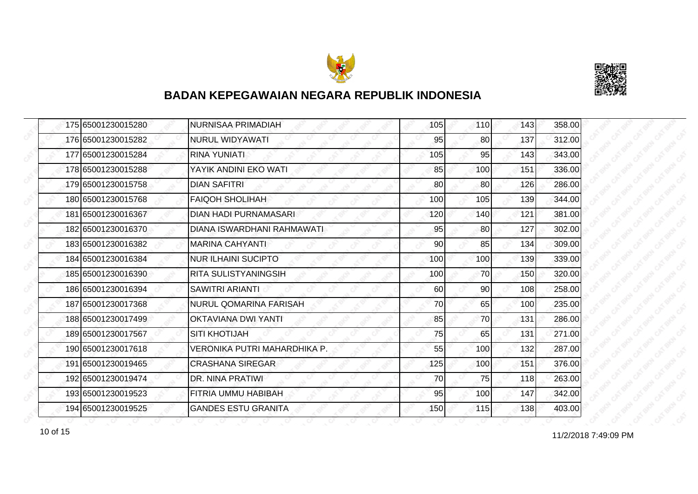



|  | 175 65001230015280 | <b>NURNISAA PRIMADIAH</b>    | 105 | <b>110</b> | 143 | 358.00 |
|--|--------------------|------------------------------|-----|------------|-----|--------|
|  | 176 65001230015282 | <b>NURUL WIDYAWATI</b>       | 95  | 80         | 137 | 312.00 |
|  | 177165001230015284 | <b>RINA YUNIATI</b>          | 105 | 95         | 143 | 343.00 |
|  | 178 65001230015288 | YAYIK ANDINI EKO WATI        | 85  | 100        | 151 | 336.00 |
|  | 179 65001230015758 | <b>DIAN SAFITRI</b>          | 80  | 80         | 126 | 286.00 |
|  | 180 65001230015768 | <b>FAIQOH SHOLIHAH</b>       | 100 | 105        | 139 | 344.00 |
|  | 181 65001230016367 | <b>DIAN HADI PURNAMASARI</b> | 120 | 140        | 121 | 381.00 |
|  | 182 65001230016370 | DIANA ISWARDHANI RAHMAWATI   | 95  | 80         | 127 | 302.00 |
|  | 183 65001230016382 | <b>MARINA CAHYANTI</b>       | 90  | 85         | 134 | 309.00 |
|  | 184 65001230016384 | <b>NUR ILHAINI SUCIPTO</b>   | 100 | 100        | 139 | 339.00 |
|  | 185 65001230016390 | RITA SULISTYANINGSIH         | 100 | 70         | 150 | 320.00 |
|  | 186 65001230016394 | <b>SAWITRI ARIANTI</b>       | 60  | 90         | 108 | 258.00 |
|  | 187 65001230017368 | NURUL QOMARINA FARISAH       | 70  | 65         | 100 | 235.00 |
|  | 188 65001230017499 | OKTAVIANA DWI YANTI          | 85  | 70         | 131 | 286.00 |
|  | 189 65001230017567 | <b>SITI KHOTIJAH</b>         | 75  | 65         | 131 | 271.00 |
|  | 190 65001230017618 | VERONIKA PUTRI MAHARDHIKA P. | 55  | 100        | 132 | 287.00 |
|  | 191 65001230019465 | <b>CRASHANA SIREGAR</b>      | 125 | 100        | 151 | 376.00 |
|  | 192 65001230019474 | DR. NINA PRATIWI             | 70  | 75         | 118 | 263.00 |
|  | 193 65001230019523 | <b>FITRIA UMMU HABIBAH</b>   | 95  | 100        | 147 | 342.00 |
|  | 194 65001230019525 | <b>GANDES ESTU GRANITA</b>   | 150 | 115        | 138 | 403.00 |

11/2/2018 7:49:09 PM 10 of 15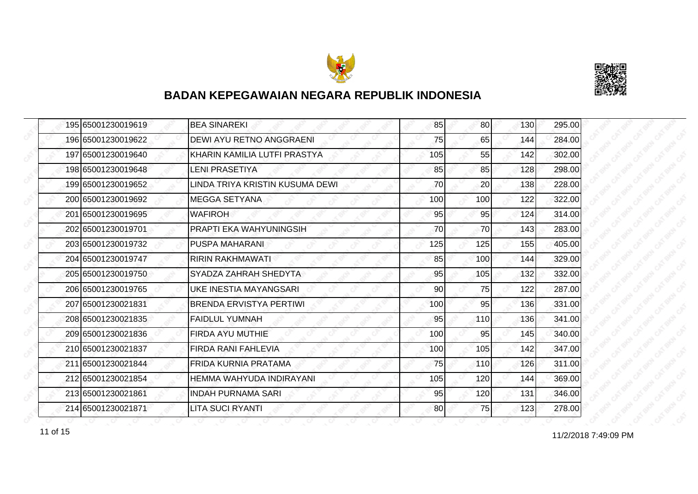



| 195 65001230019619 | <b>BEA SINAREKI</b>             | 85  | 80  | 130 | 295.00 |
|--------------------|---------------------------------|-----|-----|-----|--------|
| 196 65001230019622 | <b>DEWI AYU RETNO ANGGRAENI</b> | 75  | 65  | 144 | 284.00 |
| 197 65001230019640 | KHARIN KAMILIA LUTFI PRASTYA    | 105 | 55  | 142 | 302.00 |
| 198 65001230019648 | <b>LENI PRASETIYA</b>           | 85  | 85  | 128 | 298.00 |
| 199 65001230019652 | LINDA TRIYA KRISTIN KUSUMA DEWI | 70  | 20  | 138 | 228.00 |
| 200 65001230019692 | IMEGGA SETYANA                  | 100 | 100 | 122 | 322.00 |
| 201 65001230019695 | <b>WAFIROH</b>                  | 95  | 95  | 124 | 314.00 |
| 202 65001230019701 | PRAPTI EKA WAHYUNINGSIH         | 70  | 70  | 143 | 283.00 |
| 203165001230019732 | <b>PUSPA MAHARANI</b>           | 125 | 125 | 155 | 405.00 |
| 204 65001230019747 | <b>RIRIN RAKHMAWATI</b>         | 85  | 100 | 144 | 329.00 |
| 205 65001230019750 | SYADZA ZAHRAH SHEDYTA           | 95  | 105 | 132 | 332.00 |
| 206 65001230019765 | UKE INESTIA MAYANGSARI          | 90  | 75  | 122 | 287.00 |
| 207 65001230021831 | <b>BRENDA ERVISTYA PERTIWI</b>  | 100 | 95  | 136 | 331.00 |
| 208 65001230021835 | FAIDLUL YUMNAH                  | 95  | 110 | 136 | 341.00 |
| 209 65001230021836 | <b>FIRDA AYU MUTHIE</b>         | 100 | 95  | 145 | 340.00 |
| 210 65001230021837 | <b>FIRDA RANI FAHLEVIA</b>      | 100 | 105 | 142 | 347.00 |
| 211 65001230021844 | <b>FRIDA KURNIA PRATAMA</b>     | 75  | 110 | 126 | 311.00 |
| 212165001230021854 | HEMMA WAHYUDA INDIRAYANI        | 105 | 120 | 144 | 369.00 |
| 213 65001230021861 | <b>INDAH PURNAMA SARI</b>       | 95  | 120 | 131 | 346.00 |
| 214 65001230021871 | <b>LITA SUCI RYANTI</b>         | 80  | 75  | 123 | 278.00 |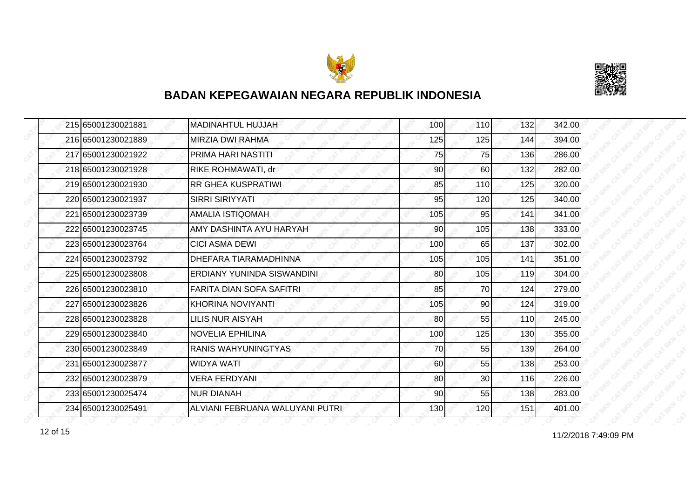



| 215 65001230021881 | <b>MADINAHTUL HUJJAH</b>        | 100 | 110 | 132 | 342.00 |
|--------------------|---------------------------------|-----|-----|-----|--------|
| 216 65001230021889 | <b>MIRZIA DWI RAHMA</b>         | 125 | 125 | 144 | 394.00 |
| 217 65001230021922 | PRIMA HARI NASTITI              | 75  | 75  | 136 | 286.00 |
| 218 65001230021928 | RIKE ROHMAWATI, dr              | 90  | 60  | 132 | 282.00 |
| 219 65001230021930 | <b>RR GHEA KUSPRATIWI</b>       | 85  | 110 | 125 | 320.00 |
| 220165001230021937 | <b>SIRRI SIRIYYATI</b>          | 95  | 120 | 125 | 340.00 |
| 221 65001230023739 | <b>AMALIA ISTIQOMAH</b>         | 105 | 95  | 141 | 341.00 |
| 222 65001230023745 | AMY DASHINTA AYU HARYAH         | 90  | 105 | 138 | 333.00 |
| 223 65001230023764 | <b>CICI ASMA DEWI</b>           | 100 | 65  | 137 | 302.00 |
| 224 65001230023792 | DHEFARA TIARAMADHINNA           | 105 | 105 | 141 | 351.00 |
| 225 65001230023808 | ERDIANY YUNINDA SISWANDINI      | 80  | 105 | 119 | 304.00 |
| 226165001230023810 | <b>FARITA DIAN SOFA SAFITRI</b> | 85  | 70  | 124 | 279.00 |
| 227 65001230023826 | KHORINA NOVIYANTI               | 105 | 90  | 124 | 319.00 |
| 228165001230023828 | <b>LILIS NUR AISYAH</b>         | 80  | 55  | 110 | 245.00 |
| 229 65001230023840 | <b>NOVELIA EPHILINA</b>         | 100 | 125 | 130 | 355.00 |
| 230 65001230023849 | <b>RANIS WAHYUNINGTYAS</b>      | 70  | 55  | 139 | 264.00 |
| 231 65001230023877 | <b>WIDYA WATI</b>               | 60  | 55  | 138 | 253.00 |
| 232 65001230023879 | <b>VERA FERDYANI</b>            | 80  | 30  | 116 | 226.00 |
| 233 65001230025474 | <b>NUR DIANAH</b>               | 90  | 55  | 138 | 283.00 |
| 234 65001230025491 | ALVIANI FEBRUANA WALUYANI PUTRI | 130 | 120 | 151 | 401.00 |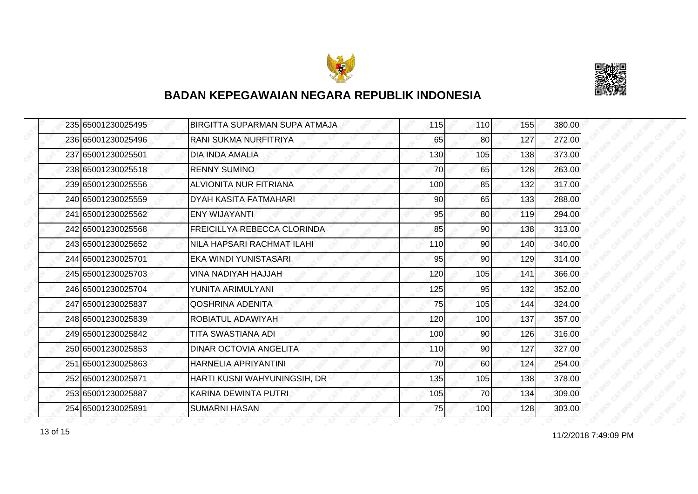



|  | 235 65001230025495 | BIRGITTA SUPARMAN SUPA ATMAJA      | 115 | 110             | 155 | 380.00 |
|--|--------------------|------------------------------------|-----|-----------------|-----|--------|
|  | 236 65001230025496 | RANI SUKMA NURFITRIYA              | 65  | 80              | 127 | 272.00 |
|  | 237 65001230025501 | <b>DIA INDA AMALIA</b>             | 130 | 105             | 138 | 373.00 |
|  | 238 65001230025518 | <b>RENNY SUMINO</b>                | 70  | 65              | 128 | 263.00 |
|  | 239 65001230025556 | ALVIONITA NUR FITRIANA             | 100 | 85              | 132 | 317.00 |
|  | 240 65001230025559 | DYAH KASITA FATMAHARI              | 90  | 65              | 133 | 288.00 |
|  | 241 65001230025562 | <b>ENY WIJAYANTI</b>               | 95  | 80              | 119 | 294.00 |
|  | 242 65001230025568 | <b>FREICILLYA REBECCA CLORINDA</b> | 85  | 90              | 138 | 313.00 |
|  | 243 65001230025652 | NILA HAPSARI RACHMAT ILAHI         | 110 | 90              | 140 | 340.00 |
|  | 244 65001230025701 | EKA WINDI YUNISTASARI              | 95  | 90              | 129 | 314.00 |
|  | 245 65001230025703 | VINA NADIYAH HAJJAH                | 120 | 105             | 141 | 366.00 |
|  | 246 65001230025704 | YUNITA ARIMULYANI                  | 125 | 95              | 132 | 352.00 |
|  | 247 65001230025837 | QOSHRINA ADENITA                   | 75  | 105             | 144 | 324.00 |
|  | 248 65001230025839 | ROBIATUL ADAWIYAH                  | 120 | 100             | 137 | 357.00 |
|  | 249 65001230025842 | TITA SWASTIANA ADI                 | 100 | 90              | 126 | 316.00 |
|  | 250 65001230025853 | <b>DINAR OCTOVIA ANGELITA</b>      | 110 | 90 <sub>0</sub> | 127 | 327.00 |
|  | 251 65001230025863 | HARNELIA APRIYANTINI               | 70  | 60              | 124 | 254.00 |
|  | 252 65001230025871 | HARTI KUSNI WAHYUNINGSIH, DR       | 135 | 105             | 138 | 378.00 |
|  | 253 65001230025887 | KARINA DEWINTA PUTRI               | 105 | 70              | 134 | 309.00 |
|  | 254 65001230025891 | <b>SUMARNI HASAN</b>               | 75  | 100             | 128 | 303.00 |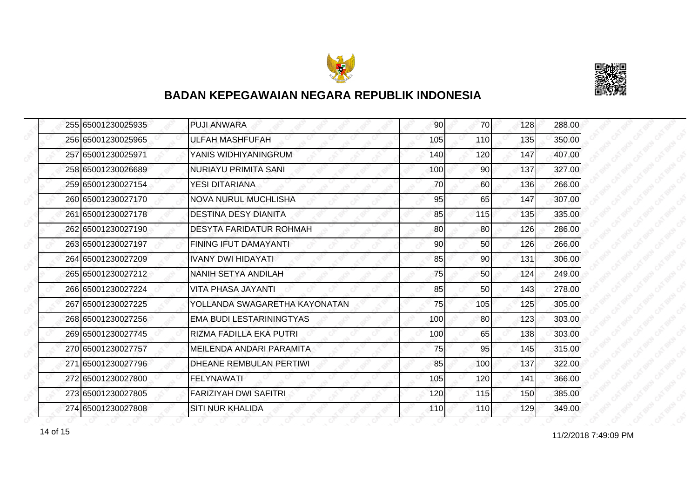



| 255 65001230025935 | <b>PUJI ANWARA</b>            | 90  | <b>70</b> | 128 | 288.00 |
|--------------------|-------------------------------|-----|-----------|-----|--------|
| 256 65001230025965 | <b>ULFAH MASHFUFAH</b>        | 105 | 110       | 135 | 350.00 |
| 257 65001230025971 | YANIS WIDHIYANINGRUM          | 140 | 120       | 147 | 407.00 |
| 258 65001230026689 | <b>NURIAYU PRIMITA SANI</b>   | 100 | 90        | 137 | 327.00 |
| 259 65001230027154 | YESI DITARIANA                | 70  | 60        | 136 | 266.00 |
| 260 65001230027170 | <b>NOVA NURUL MUCHLISHA</b>   | 95  | 65        | 147 | 307.00 |
| 261 65001230027178 | <b>DESTINA DESY DIANITA</b>   | 85  | 115       | 135 | 335.00 |
| 262165001230027190 | DESYTA FARIDATUR ROHMAH       | 80  | 80        | 126 | 286.00 |
| 263 65001230027197 | FINING IFUT DAMAYANTI         | 90  | 50        | 126 | 266.00 |
| 264 65001230027209 | <b>IVANY DWI HIDAYATI</b>     | 85  | 90        | 131 | 306.00 |
| 265 65001230027212 | NANIH SETYA ANDILAH           | 75  | 50        | 124 | 249.00 |
| 266 65001230027224 | VITA PHASA JAYANTI            | 85  | 50        | 143 | 278.00 |
| 267 65001230027225 | YOLLANDA SWAGARETHA KAYONATAN | 75  | 105       | 125 | 305.00 |
| 268 65001230027256 | EMA BUDI LESTARININGTYAS      | 100 | 80        | 123 | 303.00 |
| 269 65001230027745 | RIZMA FADILLA EKA PUTRI       | 100 | 65        | 138 | 303.00 |
| 270 65001230027757 | MEILENDA ANDARI PARAMITA      | 75  | 95        | 145 | 315.00 |
| 271 65001230027796 | DHEANE REMBULAN PERTIWI       | 85  | 100       | 137 | 322.00 |
| 272 65001230027800 | <b>FELYNAWATI</b>             | 105 | 120       | 141 | 366.00 |
| 273 65001230027805 | <b>FARIZIYAH DWI SAFITRI</b>  | 120 | 115       | 150 | 385.00 |
| 274 65001230027808 | <b>SITI NUR KHALIDA</b>       | 110 | 110       | 129 | 349.00 |